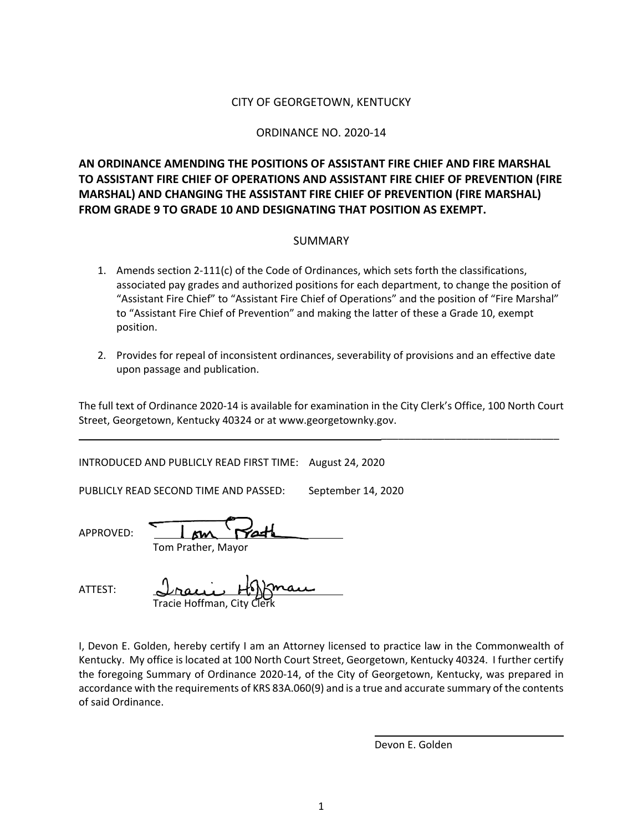### CITY OF GEORGETOWN, KENTUCKY

#### ORDINANCE NO. 2020-14

**AN ORDINANCE AMENDING THE POSITIONS OF ASSISTANT FIRE CHIEF AND FIRE MARSHAL TO ASSISTANT FIRE CHIEF OF OPERATIONS AND ASSISTANT FIRE CHIEF OF PREVENTION (FIRE MARSHAL) AND CHANGING THE ASSISTANT FIRE CHIEF OF PREVENTION (FIRE MARSHAL) FROM GRADE 9 TO GRADE 10 AND DESIGNATING THAT POSITION AS EXEMPT.**

#### SUMMARY

- 1. Amends section 2-111(c) of the Code of Ordinances, which sets forth the classifications, associated pay grades and authorized positions for each department, to change the position of "Assistant Fire Chief" to "Assistant Fire Chief of Operations" and the position of "Fire Marshal" to "Assistant Fire Chief of Prevention" and making the latter of these a Grade 10, exempt position.
- 2. Provides for repeal of inconsistent ordinances, severability of provisions and an effective date upon passage and publication.

The full text of Ordinance 2020-14 is available for examination in the City Clerk's Office, 100 North Court Street, Georgetown, Kentucky 40324 or at www.georgetownky.gov.

INTRODUCED AND PUBLICLY READ FIRST TIME: August 24, 2020

PUBLICLY READ SECOND TIME AND PASSED: September 14, 2020

APPROVED:

ATTEST:

Tom Prather, Mayor

|                            | <u> Irain Hoffman</u> |
|----------------------------|-----------------------|
| Tracie Hoffman, City Clerk |                       |

I, Devon E. Golden, hereby certify I am an Attorney licensed to practice law in the Commonwealth of Kentucky. My office is located at 100 North Court Street, Georgetown, Kentucky 40324. I further certify the foregoing Summary of Ordinance 2020-14, of the City of Georgetown, Kentucky, was prepared in accordance with the requirements of KRS 83A.060(9) and is a true and accurate summary of the contents of said Ordinance.

Devon E. Golden

\_\_\_\_\_\_\_\_\_\_\_\_\_\_\_\_\_\_\_\_\_\_\_\_\_\_\_\_\_\_\_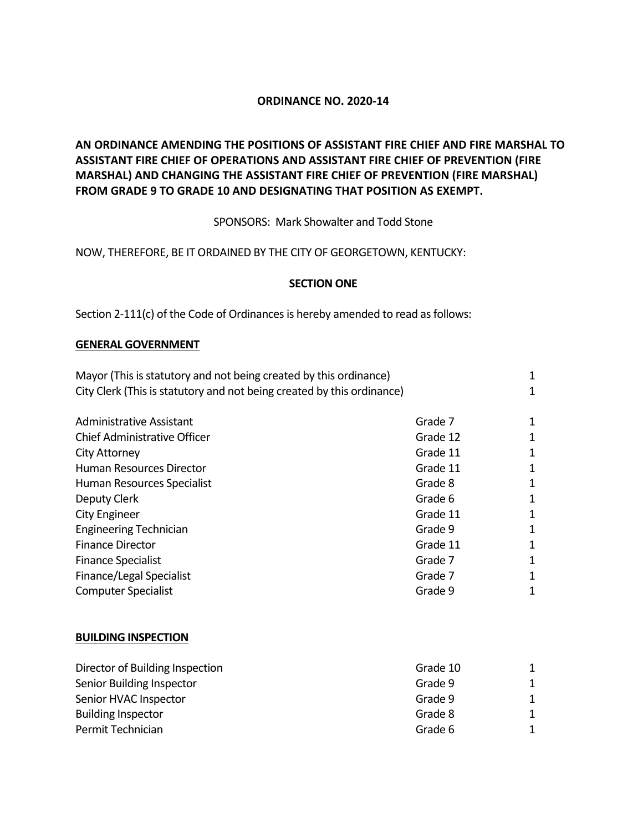## **ORDINANCE NO. 2020-14**

# **AN ORDINANCE AMENDING THE POSITIONS OF ASSISTANT FIRE CHIEF AND FIRE MARSHAL TO ASSISTANT FIRE CHIEF OF OPERATIONS AND ASSISTANT FIRE CHIEF OF PREVENTION (FIRE MARSHAL) AND CHANGING THE ASSISTANT FIRE CHIEF OF PREVENTION (FIRE MARSHAL) FROM GRADE 9 TO GRADE 10 AND DESIGNATING THAT POSITION AS EXEMPT.**

SPONSORS: Mark Showalter and Todd Stone

NOW, THEREFORE, BE IT ORDAINED BY THE CITY OF GEORGETOWN, KENTUCKY:

### **SECTION ONE**

Section 2-111(c) of the Code of Ordinances is hereby amended to read as follows:

### **GENERAL GOVERNMENT**

| Mayor (This is statutory and not being created by this ordinance)      |          | 1 |
|------------------------------------------------------------------------|----------|---|
| City Clerk (This is statutory and not being created by this ordinance) |          | 1 |
|                                                                        |          |   |
| <b>Administrative Assistant</b>                                        | Grade 7  | 1 |
| Chief Administrative Officer                                           | Grade 12 | 1 |
| <b>City Attorney</b>                                                   | Grade 11 | 1 |
| Human Resources Director                                               | Grade 11 | 1 |
| Human Resources Specialist                                             | Grade 8  | 1 |
| Deputy Clerk                                                           | Grade 6  | 1 |
| <b>City Engineer</b>                                                   | Grade 11 | 1 |
| <b>Engineering Technician</b>                                          | Grade 9  | 1 |
| <b>Finance Director</b>                                                | Grade 11 | 1 |
| <b>Finance Specialist</b>                                              | Grade 7  | 1 |
| Finance/Legal Specialist                                               | Grade 7  | 1 |
| <b>Computer Specialist</b>                                             | Grade 9  | 1 |
|                                                                        |          |   |

#### **BUILDING INSPECTION**

| Director of Building Inspection | Grade 10 | 1 |
|---------------------------------|----------|---|
| Senior Building Inspector       | Grade 9  | 1 |
| Senior HVAC Inspector           | Grade 9  | 1 |
| <b>Building Inspector</b>       | Grade 8  | 1 |
| Permit Technician               | Grade 6  | 1 |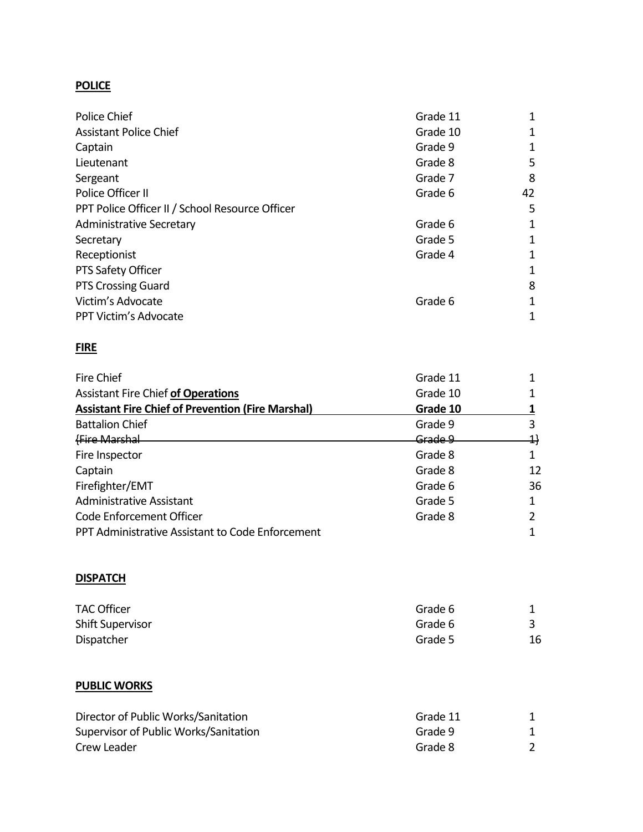# **POLICE**

| Police Chief                                    | Grade 11 | 1  |
|-------------------------------------------------|----------|----|
| <b>Assistant Police Chief</b>                   | Grade 10 | 1  |
| Captain                                         | Grade 9  | 1  |
| Lieutenant                                      | Grade 8  | 5  |
| Sergeant                                        | Grade 7  | 8  |
| Police Officer II                               | Grade 6  | 42 |
| PPT Police Officer II / School Resource Officer |          | 5  |
| <b>Administrative Secretary</b>                 | Grade 6  | 1  |
| Secretary                                       | Grade 5  | 1  |
| Receptionist                                    | Grade 4  | 1  |
| PTS Safety Officer                              |          | 1  |
| <b>PTS Crossing Guard</b>                       |          | 8  |
| Victim's Advocate                               | Grade 6  | 1  |
| PPT Victim's Advocate                           |          | 1  |

# **FIRE**

| Fire Chief                                               | Grade 11 |    |
|----------------------------------------------------------|----------|----|
| <b>Assistant Fire Chief of Operations</b>                | Grade 10 |    |
| <b>Assistant Fire Chief of Prevention (Fire Marshal)</b> | Grade 10 |    |
| <b>Battalion Chief</b>                                   | Grade 9  |    |
| <b>Fire Marshal</b>                                      | Grade 9  | 4} |
| Fire Inspector                                           | Grade 8  |    |
| Captain                                                  | Grade 8  | 12 |
| Firefighter/EMT                                          | Grade 6  | 36 |
| <b>Administrative Assistant</b>                          | Grade 5  |    |
| Code Enforcement Officer                                 | Grade 8  |    |
| PPT Administrative Assistant to Code Enforcement         |          |    |

# **DISPATCH**

| <b>TAC Officer</b>      | Grade 6 |    |
|-------------------------|---------|----|
| <b>Shift Supervisor</b> | Grade 6 |    |
| Dispatcher              | Grade 5 | 16 |

## **PUBLIC WORKS**

| Director of Public Works/Sanitation   | Grade 11 |  |
|---------------------------------------|----------|--|
| Supervisor of Public Works/Sanitation | Grade 9  |  |
| Crew Leader                           | Grade 8  |  |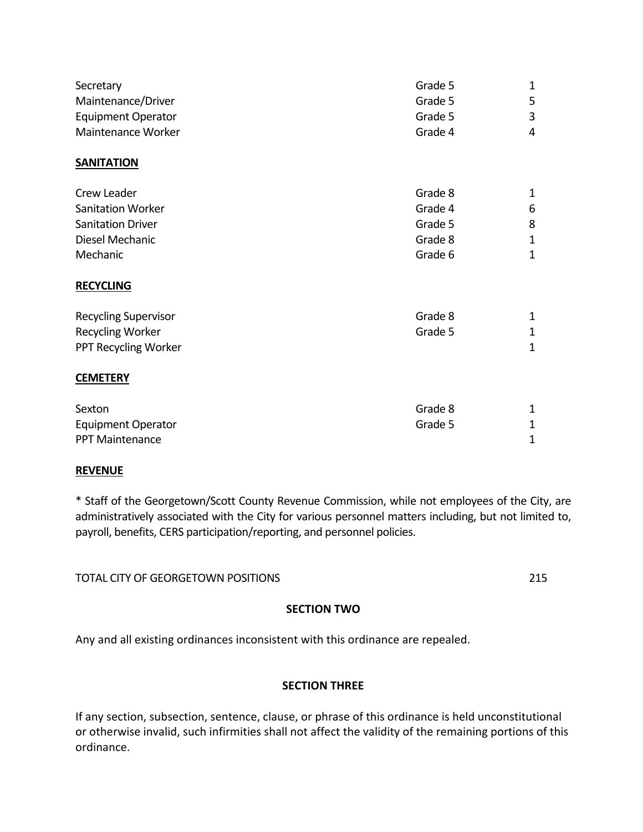| Secretary                   | Grade 5 | $\mathbf 1$ |
|-----------------------------|---------|-------------|
| Maintenance/Driver          | Grade 5 | 5           |
| <b>Equipment Operator</b>   | Grade 5 | 3           |
| Maintenance Worker          | Grade 4 | 4           |
| <b>SANITATION</b>           |         |             |
| Crew Leader                 | Grade 8 | 1           |
| <b>Sanitation Worker</b>    | Grade 4 | 6           |
| <b>Sanitation Driver</b>    | Grade 5 | 8           |
| Diesel Mechanic             | Grade 8 | $\mathbf 1$ |
| Mechanic                    | Grade 6 | 1           |
| <b>RECYCLING</b>            |         |             |
| <b>Recycling Supervisor</b> | Grade 8 | 1           |
| Recycling Worker            | Grade 5 | $\mathbf 1$ |
| PPT Recycling Worker        |         | $\mathbf 1$ |
| <b>CEMETERY</b>             |         |             |
| Sexton                      | Grade 8 | 1           |
| <b>Equipment Operator</b>   | Grade 5 | 1           |
| <b>PPT Maintenance</b>      |         | 1           |

## **REVENUE**

\* Staff of the Georgetown/Scott County Revenue Commission, while not employees of the City, are administratively associated with the City for various personnel matters including, but not limited to, payroll, benefits, CERS participation/reporting, and personnel policies.

TOTAL CITY OF GEORGETOWN POSITIONS 215

## **SECTION TWO**

Any and all existing ordinances inconsistent with this ordinance are repealed.

# **SECTION THREE**

If any section, subsection, sentence, clause, or phrase of this ordinance is held unconstitutional or otherwise invalid, such infirmities shall not affect the validity of the remaining portions of this ordinance.